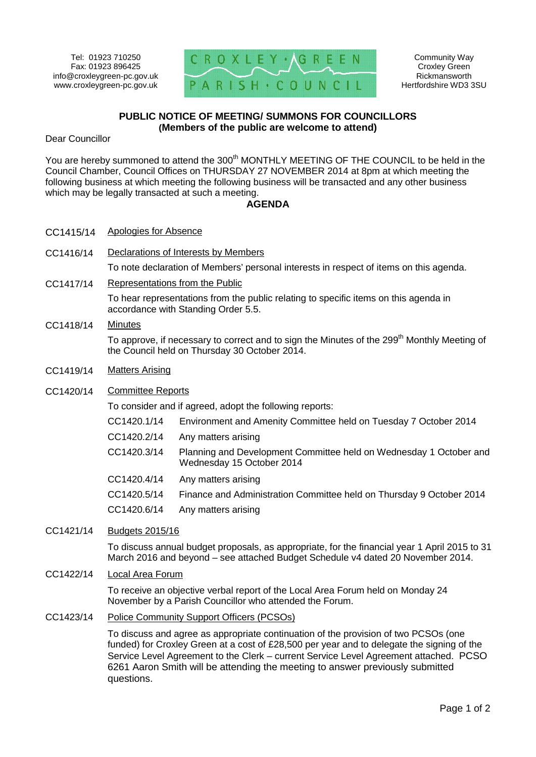

Community Way Croxley Green Rickmansworth Hertfordshire WD3 3SU

## **PUBLIC NOTICE OF MEETING/ SUMMONS FOR COUNCILLORS (Members of the public are welcome to attend)**

Dear Councillor

You are hereby summoned to attend the 300<sup>th</sup> MONTHLY MEETING OF THE COUNCIL to be held in the Council Chamber, Council Offices on THURSDAY 27 NOVEMBER 2014 at 8pm at which meeting the following business at which meeting the following business will be transacted and any other business which may be legally transacted at such a meeting.

## **AGENDA**

- CC1415/14 Apologies for Absence
- CC1416/14 Declarations of Interests by Members

To note declaration of Members' personal interests in respect of items on this agenda.

CC1417/14 Representations from the Public

To hear representations from the public relating to specific items on this agenda in accordance with Standing Order 5.5.

## CC1418/14 Minutes

To approve, if necessary to correct and to sign the Minutes of the 299<sup>th</sup> Monthly Meeting of the Council held on Thursday 30 October 2014.

- CC1419/14 Matters Arising
- CC1420/14 Committee Reports

To consider and if agreed, adopt the following reports:

- CC1420.1/14 Environment and Amenity Committee held on Tuesday 7 October 2014
- CC1420.2/14 Any matters arising
- CC1420.3/14 Planning and Development Committee held on Wednesday 1 October and Wednesday 15 October 2014
- CC1420.4/14 Any matters arising
- CC1420.5/14 Finance and Administration Committee held on Thursday 9 October 2014
- CC1420.6/14 Any matters arising

## CC1421/14 Budgets 2015/16

To discuss annual budget proposals, as appropriate, for the financial year 1 April 2015 to 31 March 2016 and beyond – see attached Budget Schedule v4 dated 20 November 2014.

CC1422/14 Local Area Forum

To receive an objective verbal report of the Local Area Forum held on Monday 24 November by a Parish Councillor who attended the Forum.

CC1423/14 Police Community Support Officers (PCSOs)

To discuss and agree as appropriate continuation of the provision of two PCSOs (one funded) for Croxley Green at a cost of £28,500 per year and to delegate the signing of the Service Level Agreement to the Clerk – current Service Level Agreement attached. PCSO 6261 Aaron Smith will be attending the meeting to answer previously submitted questions.